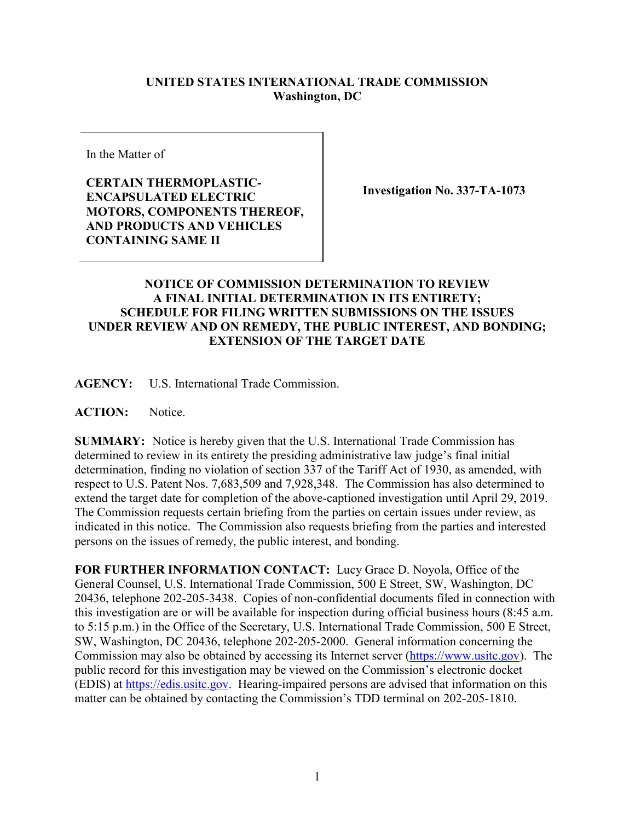## **UNITED STATES INTERNATIONAL TRADE COMMISSION Washington, DC**

In the Matter of

**CERTAIN THERMOPLASTIC-ENCAPSULATED ELECTRIC MOTORS, COMPONENTS THEREOF, AND PRODUCTS AND VEHICLES CONTAINING SAME II**

**Investigation No. 337-TA-1073**

## **NOTICE OF COMMISSION DETERMINATION TO REVIEW A FINAL INITIAL DETERMINATION IN ITS ENTIRETY; SCHEDULE FOR FILING WRITTEN SUBMISSIONS ON THE ISSUES UNDER REVIEW AND ON REMEDY, THE PUBLIC INTEREST, AND BONDING; EXTENSION OF THE TARGET DATE**

**AGENCY:** U.S. International Trade Commission.

**ACTION:** Notice.

**SUMMARY:** Notice is hereby given that the U.S. International Trade Commission has determined to review in its entirety the presiding administrative law judge's final initial determination, finding no violation of section 337 of the Tariff Act of 1930, as amended, with respect to U.S. Patent Nos. 7,683,509 and 7,928,348. The Commission has also determined to extend the target date for completion of the above-captioned investigation until April 29, 2019. The Commission requests certain briefing from the parties on certain issues under review, as indicated in this notice. The Commission also requests briefing from the parties and interested persons on the issues of remedy, the public interest, and bonding.

**FOR FURTHER INFORMATION CONTACT:** Lucy Grace D. Noyola, Office of the General Counsel, U.S. International Trade Commission, 500 E Street, SW, Washington, DC 20436, telephone 202-205-3438. Copies of non-confidential documents filed in connection with this investigation are or will be available for inspection during official business hours (8:45 a.m. to 5:15 p.m.) in the Office of the Secretary, U.S. International Trade Commission, 500 E Street, SW, Washington, DC 20436, telephone 202-205-2000. General information concerning the Commission may also be obtained by accessing its Internet server [\(https://www.usitc.gov\)](https://www.usitc.gov/). The public record for this investigation may be viewed on the Commission's electronic docket (EDIS) at [https://edis.usitc.gov.](http://edis.usitc.gov/) Hearing-impaired persons are advised that information on this matter can be obtained by contacting the Commission's TDD terminal on 202-205-1810.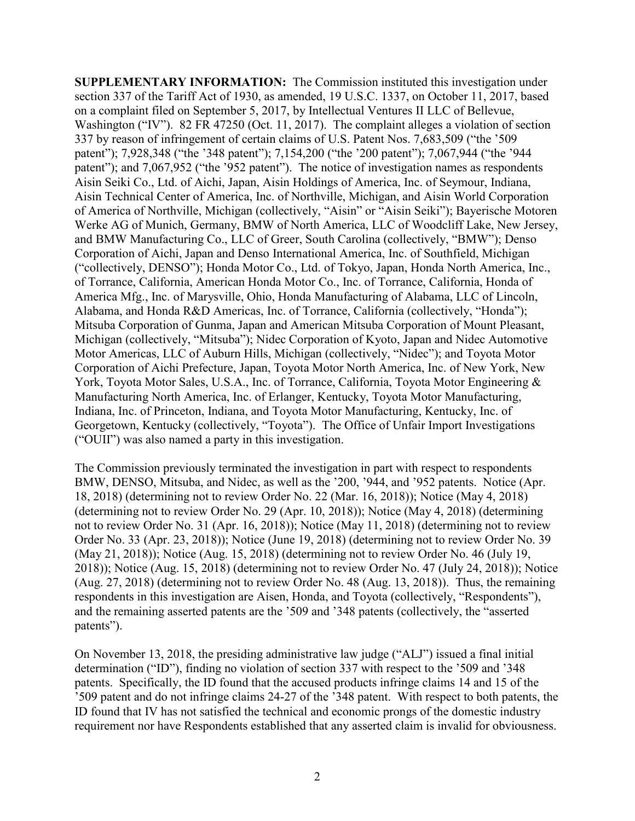**SUPPLEMENTARY INFORMATION:** The Commission instituted this investigation under section 337 of the Tariff Act of 1930, as amended, 19 U.S.C. 1337, on October 11, 2017, based on a complaint filed on September 5, 2017, by Intellectual Ventures II LLC of Bellevue, Washington ("IV"). 82 FR 47250 (Oct. 11, 2017). The complaint alleges a violation of section 337 by reason of infringement of certain claims of U.S. Patent Nos. 7,683,509 ("the '509 patent"); 7,928,348 ("the '348 patent"); 7,154,200 ("the '200 patent"); 7,067,944 ("the '944 patent"); and 7,067,952 ("the '952 patent"). The notice of investigation names as respondents Aisin Seiki Co., Ltd. of Aichi, Japan, Aisin Holdings of America, Inc. of Seymour, Indiana, Aisin Technical Center of America, Inc. of Northville, Michigan, and Aisin World Corporation of America of Northville, Michigan (collectively, "Aisin" or "Aisin Seiki"); Bayerische Motoren Werke AG of Munich, Germany, BMW of North America, LLC of Woodcliff Lake, New Jersey, and BMW Manufacturing Co., LLC of Greer, South Carolina (collectively, "BMW"); Denso Corporation of Aichi, Japan and Denso International America, Inc. of Southfield, Michigan ("collectively, DENSO"); Honda Motor Co., Ltd. of Tokyo, Japan, Honda North America, Inc., of Torrance, California, American Honda Motor Co., Inc. of Torrance, California, Honda of America Mfg., Inc. of Marysville, Ohio, Honda Manufacturing of Alabama, LLC of Lincoln, Alabama, and Honda R&D Americas, Inc. of Torrance, California (collectively, "Honda"); Mitsuba Corporation of Gunma, Japan and American Mitsuba Corporation of Mount Pleasant, Michigan (collectively, "Mitsuba"); Nidec Corporation of Kyoto, Japan and Nidec Automotive Motor Americas, LLC of Auburn Hills, Michigan (collectively, "Nidec"); and Toyota Motor Corporation of Aichi Prefecture, Japan, Toyota Motor North America, Inc. of New York, New York, Tovota Motor Sales, U.S.A., Inc. of Torrance, California, Toyota Motor Engineering & Manufacturing North America, Inc. of Erlanger, Kentucky, Toyota Motor Manufacturing, Indiana, Inc. of Princeton, Indiana, and Toyota Motor Manufacturing, Kentucky, Inc. of Georgetown, Kentucky (collectively, "Toyota"). The Office of Unfair Import Investigations ("OUII") was also named a party in this investigation.

The Commission previously terminated the investigation in part with respect to respondents BMW, DENSO, Mitsuba, and Nidec, as well as the '200, '944, and '952 patents. Notice (Apr. 18, 2018) (determining not to review Order No. 22 (Mar. 16, 2018)); Notice (May 4, 2018) (determining not to review Order No. 29 (Apr. 10, 2018)); Notice (May 4, 2018) (determining not to review Order No. 31 (Apr. 16, 2018)); Notice (May 11, 2018) (determining not to review Order No. 33 (Apr. 23, 2018)); Notice (June 19, 2018) (determining not to review Order No. 39 (May 21, 2018)); Notice (Aug. 15, 2018) (determining not to review Order No. 46 (July 19, 2018)); Notice (Aug. 15, 2018) (determining not to review Order No. 47 (July 24, 2018)); Notice (Aug. 27, 2018) (determining not to review Order No. 48 (Aug. 13, 2018)). Thus, the remaining respondents in this investigation are Aisen, Honda, and Toyota (collectively, "Respondents"), and the remaining asserted patents are the '509 and '348 patents (collectively, the "asserted patents").

On November 13, 2018, the presiding administrative law judge ("ALJ") issued a final initial determination ("ID"), finding no violation of section 337 with respect to the '509 and '348 patents. Specifically, the ID found that the accused products infringe claims 14 and 15 of the '509 patent and do not infringe claims 24-27 of the '348 patent. With respect to both patents, the ID found that IV has not satisfied the technical and economic prongs of the domestic industry requirement nor have Respondents established that any asserted claim is invalid for obviousness.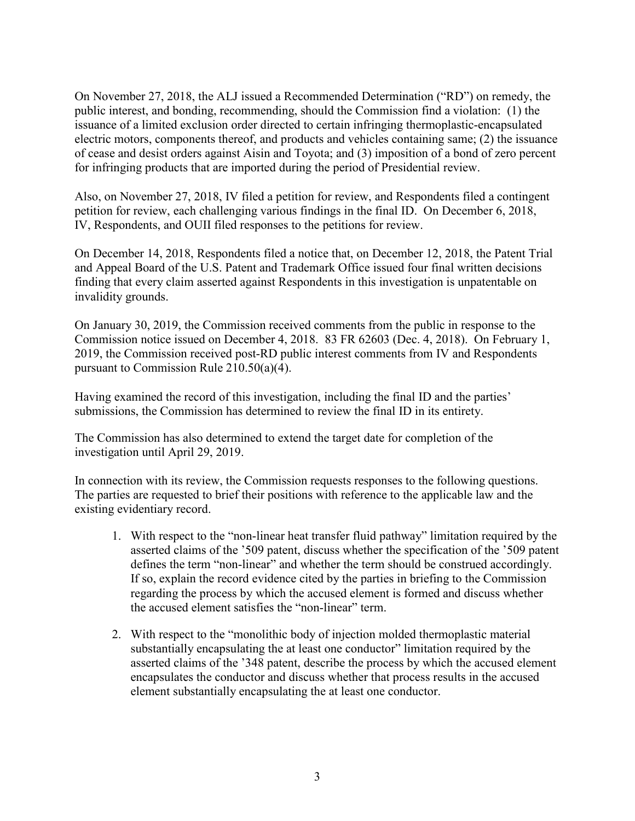On November 27, 2018, the ALJ issued a Recommended Determination ("RD") on remedy, the public interest, and bonding, recommending, should the Commission find a violation: (1) the issuance of a limited exclusion order directed to certain infringing thermoplastic-encapsulated electric motors, components thereof, and products and vehicles containing same; (2) the issuance of cease and desist orders against Aisin and Toyota; and (3) imposition of a bond of zero percent for infringing products that are imported during the period of Presidential review.

Also, on November 27, 2018, IV filed a petition for review, and Respondents filed a contingent petition for review, each challenging various findings in the final ID. On December 6, 2018, IV, Respondents, and OUII filed responses to the petitions for review.

On December 14, 2018, Respondents filed a notice that, on December 12, 2018, the Patent Trial and Appeal Board of the U.S. Patent and Trademark Office issued four final written decisions finding that every claim asserted against Respondents in this investigation is unpatentable on invalidity grounds.

On January 30, 2019, the Commission received comments from the public in response to the Commission notice issued on December 4, 2018. 83 FR 62603 (Dec. 4, 2018). On February 1, 2019, the Commission received post-RD public interest comments from IV and Respondents pursuant to Commission Rule 210.50(a)(4).

Having examined the record of this investigation, including the final ID and the parties' submissions, the Commission has determined to review the final ID in its entirety.

The Commission has also determined to extend the target date for completion of the investigation until April 29, 2019.

In connection with its review, the Commission requests responses to the following questions. The parties are requested to brief their positions with reference to the applicable law and the existing evidentiary record.

- 1. With respect to the "non-linear heat transfer fluid pathway" limitation required by the asserted claims of the '509 patent, discuss whether the specification of the '509 patent defines the term "non-linear" and whether the term should be construed accordingly. If so, explain the record evidence cited by the parties in briefing to the Commission regarding the process by which the accused element is formed and discuss whether the accused element satisfies the "non-linear" term.
- 2. With respect to the "monolithic body of injection molded thermoplastic material substantially encapsulating the at least one conductor" limitation required by the asserted claims of the '348 patent, describe the process by which the accused element encapsulates the conductor and discuss whether that process results in the accused element substantially encapsulating the at least one conductor.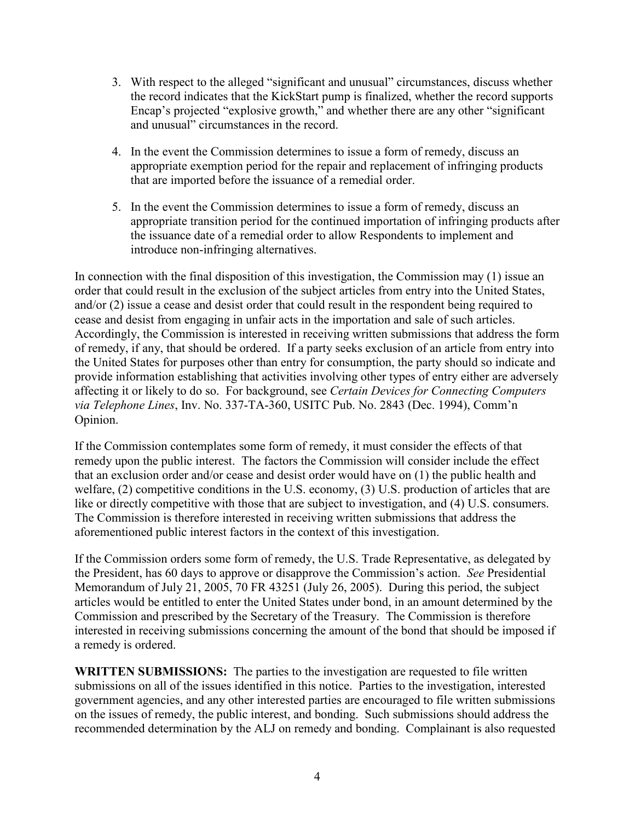- 3. With respect to the alleged "significant and unusual" circumstances, discuss whether the record indicates that the KickStart pump is finalized, whether the record supports Encap's projected "explosive growth," and whether there are any other "significant and unusual" circumstances in the record.
- 4. In the event the Commission determines to issue a form of remedy, discuss an appropriate exemption period for the repair and replacement of infringing products that are imported before the issuance of a remedial order.
- 5. In the event the Commission determines to issue a form of remedy, discuss an appropriate transition period for the continued importation of infringing products after the issuance date of a remedial order to allow Respondents to implement and introduce non-infringing alternatives.

In connection with the final disposition of this investigation, the Commission may (1) issue an order that could result in the exclusion of the subject articles from entry into the United States, and/or (2) issue a cease and desist order that could result in the respondent being required to cease and desist from engaging in unfair acts in the importation and sale of such articles. Accordingly, the Commission is interested in receiving written submissions that address the form of remedy, if any, that should be ordered. If a party seeks exclusion of an article from entry into the United States for purposes other than entry for consumption, the party should so indicate and provide information establishing that activities involving other types of entry either are adversely affecting it or likely to do so. For background, see *Certain Devices for Connecting Computers via Telephone Lines*, Inv. No. 337-TA-360, USITC Pub. No. 2843 (Dec. 1994), Comm'n Opinion.

If the Commission contemplates some form of remedy, it must consider the effects of that remedy upon the public interest. The factors the Commission will consider include the effect that an exclusion order and/or cease and desist order would have on (1) the public health and welfare, (2) competitive conditions in the U.S. economy, (3) U.S. production of articles that are like or directly competitive with those that are subject to investigation, and (4) U.S. consumers. The Commission is therefore interested in receiving written submissions that address the aforementioned public interest factors in the context of this investigation.

If the Commission orders some form of remedy, the U.S. Trade Representative, as delegated by the President, has 60 days to approve or disapprove the Commission's action. *See* Presidential Memorandum of July 21, 2005, 70 FR 43251 (July 26, 2005). During this period, the subject articles would be entitled to enter the United States under bond, in an amount determined by the Commission and prescribed by the Secretary of the Treasury. The Commission is therefore interested in receiving submissions concerning the amount of the bond that should be imposed if a remedy is ordered.

**WRITTEN SUBMISSIONS:** The parties to the investigation are requested to file written submissions on all of the issues identified in this notice. Parties to the investigation, interested government agencies, and any other interested parties are encouraged to file written submissions on the issues of remedy, the public interest, and bonding. Such submissions should address the recommended determination by the ALJ on remedy and bonding. Complainant is also requested